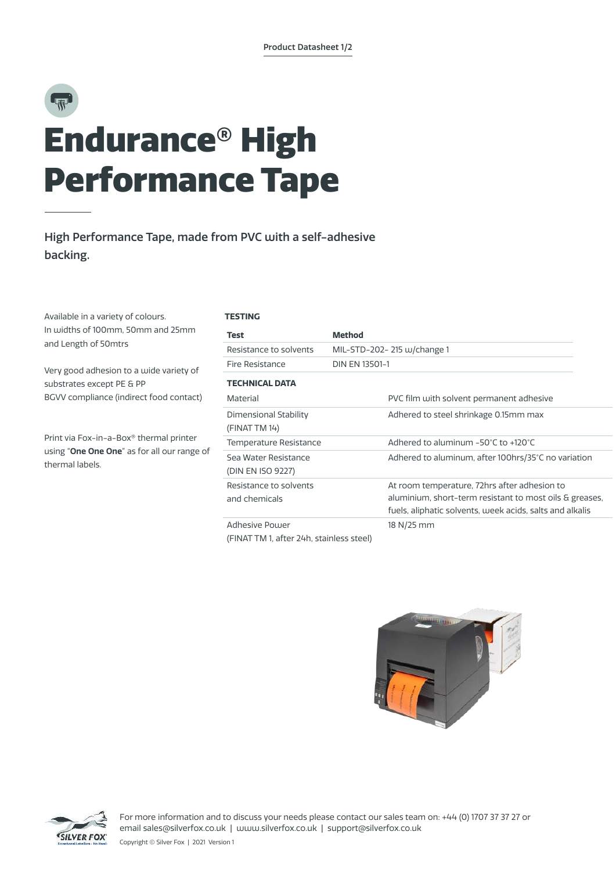# 彨 Endurance® High Performance Tape

### High Performance Tape, made from PVC with a self-adhesive backing.

Available in a variety of colours. In widths of 100mm, 50mm and 25mm and Length of 50mtrs

Very good adhesion to a wide variety of substrates except PE & PP BGVV compliance (indirect food contact)

Print via Fox-in-a-Box® thermal printer using "**One One One**" as for all our range of thermal labels.

### **TESTING**

| <b>Test</b>                               | <b>Method</b>                                                                                                                                                       |  |
|-------------------------------------------|---------------------------------------------------------------------------------------------------------------------------------------------------------------------|--|
| Resistance to solvents                    | MIL-STD-202- 215 w/change 1                                                                                                                                         |  |
| Fire Resistance                           | DIN EN 13501-1                                                                                                                                                      |  |
| <b>TECHNICAL DATA</b>                     |                                                                                                                                                                     |  |
| Material                                  | PVC film with solvent permanent adhesive                                                                                                                            |  |
| Dimensional Stability<br>(FINAT TM 14)    | Adhered to steel shrinkage 0.15mm max                                                                                                                               |  |
| Temperature Resistance                    | Adhered to aluminum $-50^{\circ}$ C to $+120^{\circ}$ C                                                                                                             |  |
| Sea Water Resistance<br>(DIN EN ISO 9227) | Adhered to aluminum, after 100hrs/35°C no variation                                                                                                                 |  |
| Resistance to solvents<br>and chemicals   | At room temperature, 72hrs after adhesion to<br>aluminium, short-term resistant to most oils & greases,<br>fuels, aliphatic solvents, week acids, salts and alkalis |  |
| Adhesive Power                            | 18 N/25 mm                                                                                                                                                          |  |

(FINAT TM 1, after 24h, stainless steel)





For more information and to discuss your needs please contact our sales team on: +44 (0) 1707 37 37 27 or email sales@silverfox.co.uk | www.silverfox.co.uk | support@silverfox.co.uk